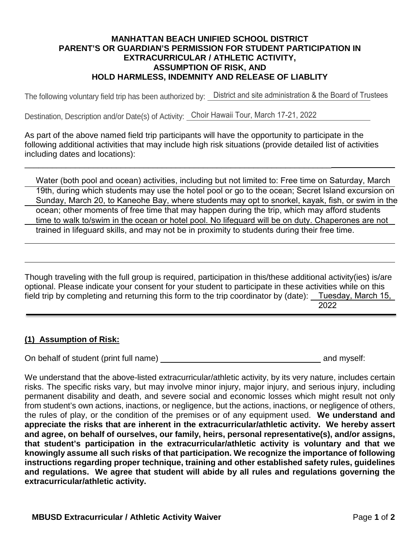## **MANHATTAN BEACH UNIFIED SCHOOL DISTRICT PARENT'S OR GUARDIAN'S PERMISSION FOR STUDENT PARTICIPATION IN EXTRACURRICULAR / ATHLETIC ACTIVITY, ASSUMPTION OF RISK, AND HOLD HARMLESS, INDEMNITY AND RELEASE OF LIABLITY**

The following voluntary field trip has been authorized by: District and site administration & the Board of Trustees

Destination, Description and/or Date(s) of Activity: Choir Hawaii Tour, March 17-21, 2022

\_\_\_\_\_\_\_\_\_\_\_\_\_\_\_\_\_\_\_\_\_\_\_\_\_\_\_\_\_\_\_\_\_\_\_\_\_\_\_\_\_\_\_\_\_\_\_\_\_\_\_\_\_\_\_\_\_\_\_\_\_\_\_\_\_\_\_

As part of the above named field trip participants will have the opportunity to participate in the following additional activities that may include high risk situations (provide detailed list of activities including dates and locations):

Water (both pool and ocean) activities, including but not limited to: Free time on Saturday, March 19th, during which students may use the hotel pool or go to the ocean; Secret Island excursion on Sunday, March 20, to Kaneohe Bay, where students may opt to snorkel, kayak, fish, or swim in the ocean; other moments of free time that may happen during the trip, which may afford students time to walk to/swim in the ocean or hotel pool. No lifeguard will be on duty. Chaperones are not trained in lifeguard skills, and may not be in proximity to students during their free time.

Though traveling with the full group is required, participation in this/these additional activity(ies) is/are optional. Please indicate your consent for your student to participate in these activities while on this field trip by completing and returning this form to the trip coordinator by (date): Tuesday, March 15, 2022

## **(1) Assumption of Risk:**

On behalf of student (print full name) and myself:

We understand that the above-listed extracurricular/athletic activity, by its very nature, includes certain risks. The specific risks vary, but may involve minor injury, major injury, and serious injury, including permanent disability and death, and severe social and economic losses which might result not only from student's own actions, inactions, or negligence, but the actions, inactions, or negligence of others, the rules of play, or the condition of the premises or of any equipment used. **We understand and appreciate the risks that are inherent in the extracurricular/athletic activity. We hereby assert and agree, on behalf of ourselves, our family, heirs, personal representative(s), and/or assigns, that student's participation in the extracurricular/athletic activity is voluntary and that we knowingly assume all such risks of that participation. We recognize the importance of following instructions regarding proper technique, training and other established safety rules, guidelines and regulations. We agree that student will abide by all rules and regulations governing the extracurricular/athletic activity.**